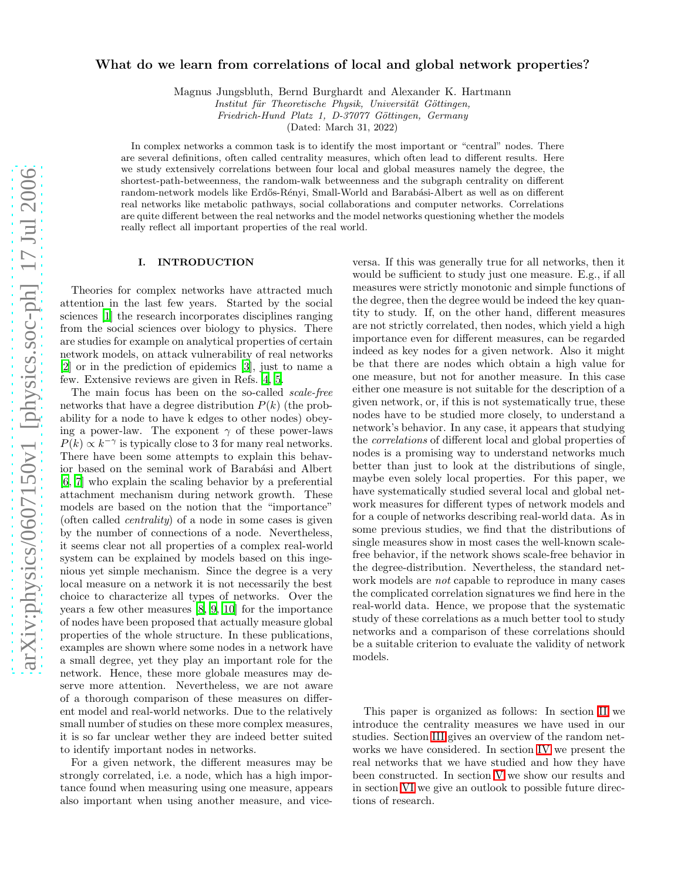## What do we learn from correlations of local and global network properties?

Magnus Jungsbluth, Bernd Burghardt and Alexander K. Hartmann

*Institut f¨ur Theoretische Physik, Universit¨at G¨ottingen,*

*Friedrich-Hund Platz 1, D-37077 G¨ottingen, Germany*

(Dated: March 31, 2022)

In complex networks a common task is to identify the most important or "central" nodes. There are several definitions, often called centrality measures, which often lead to different results. Here we study extensively correlations between four local and global measures namely the degree, the shortest-path-betweenness, the random-walk betweenness and the subgraph centrality on different random-network models like Erdős-Rényi, Small-World and Barabási-Albert as well as on different real networks like metabolic pathways, social collaborations and computer networks. Correlations are quite different between the real networks and the model networks questioning whether the models really reflect all important properties of the real world.

#### I. INTRODUCTION

Theories for complex networks have attracted much attention in the last few years. Started by the social sciences [\[1](#page-8-0)] the research incorporates disciplines ranging from the social sciences over biology to physics. There are studies for example on analytical properties of certain network models, on attack vulnerability of real networks [\[2\]](#page-8-1) or in the prediction of epidemics [\[3](#page-8-2)], just to name a few. Extensive reviews are given in Refs. [4,](#page-8-3) [5.](#page-8-4)

The main focus has been on the so-called *scale-free* networks that have a degree distribution  $P(k)$  (the probability for a node to have k edges to other nodes) obeying a power-law. The exponent  $\gamma$  of these power-laws  $P(k) \propto k^{-\gamma}$  is typically close to 3 for many real networks. There have been some attempts to explain this behavior based on the seminal work of Barabási and Albert [\[6,](#page-8-5) [7](#page-8-6)] who explain the scaling behavior by a preferential attachment mechanism during network growth. These models are based on the notion that the "importance" (often called centrality) of a node in some cases is given by the number of connections of a node. Nevertheless, it seems clear not all properties of a complex real-world system can be explained by models based on this ingenious yet simple mechanism. Since the degree is a very local measure on a network it is not necessarily the best choice to characterize all types of networks. Over the years a few other measures [\[8](#page-8-7), [9,](#page-8-8) [10\]](#page-8-9) for the importance of nodes have been proposed that actually measure global properties of the whole structure. In these publications, examples are shown where some nodes in a network have a small degree, yet they play an important role for the network. Hence, these more globale measures may deserve more attention. Nevertheless, we are not aware of a thorough comparison of these measures on different model and real-world networks. Due to the relatively small number of studies on these more complex measures, it is so far unclear wether they are indeed better suited to identify important nodes in networks.

For a given network, the different measures may be strongly correlated, i.e. a node, which has a high importance found when measuring using one measure, appears also important when using another measure, and vice-

versa. If this was generally true for all networks, then it would be sufficient to study just one measure. E.g., if all measures were strictly monotonic and simple functions of the degree, then the degree would be indeed the key quantity to study. If, on the other hand, different measures are not strictly correlated, then nodes, which yield a high importance even for different measures, can be regarded indeed as key nodes for a given network. Also it might be that there are nodes which obtain a high value for one measure, but not for another measure. In this case either one measure is not suitable for the description of a given network, or, if this is not systematically true, these nodes have to be studied more closely, to understand a network's behavior. In any case, it appears that studying the correlations of different local and global properties of nodes is a promising way to understand networks much better than just to look at the distributions of single, maybe even solely local properties. For this paper, we have systematically studied several local and global network measures for different types of network models and for a couple of networks describing real-world data. As in some previous studies, we find that the distributions of single measures show in most cases the well-known scalefree behavior, if the network shows scale-free behavior in the degree-distribution. Nevertheless, the standard network models are not capable to reproduce in many cases the complicated correlation signatures we find here in the real-world data. Hence, we propose that the systematic study of these correlations as a much better tool to study networks and a comparison of these correlations should be a suitable criterion to evaluate the validity of network models.

This paper is organized as follows: In section [II](#page-1-0) we introduce the centrality measures we have used in our studies. Section [III](#page-2-0) gives an overview of the random networks we have considered. In section [IV](#page-2-1) we present the real networks that we have studied and how they have been constructed. In section [V](#page-3-0) we show our results and in section [VI](#page-7-0) we give an outlook to possible future directions of research.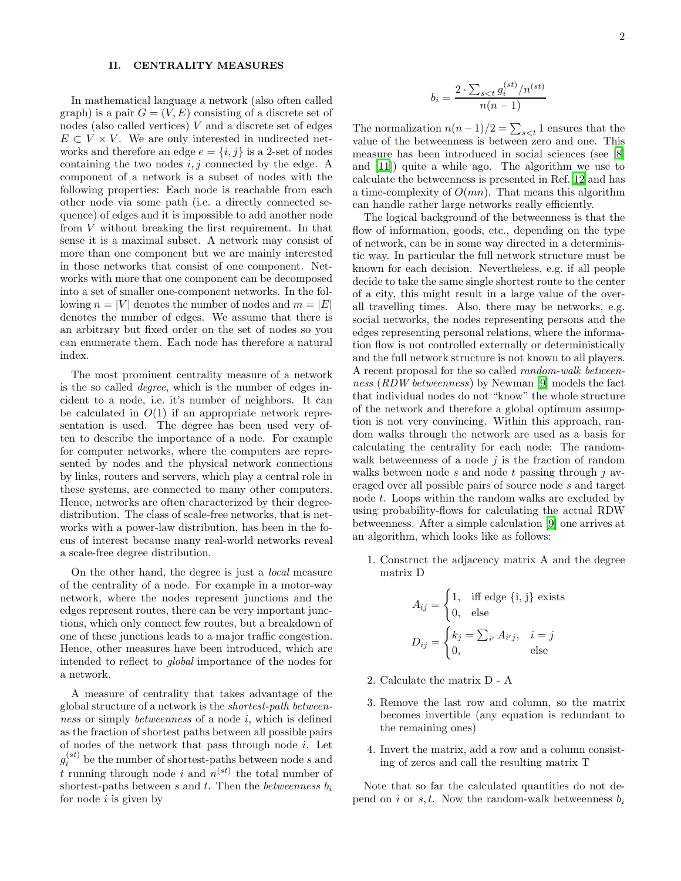### II. CENTRALITY MEASURES

<span id="page-1-0"></span>In mathematical language a network (also often called graph) is a pair  $G = (V, E)$  consisting of a discrete set of nodes (also called vertices) V and a discrete set of edges  $E \subset V \times V$ . We are only interested in undirected networks and therefore an edge  $e = \{i, j\}$  is a 2-set of nodes containing the two nodes  $i, j$  connected by the edge. A component of a network is a subset of nodes with the following properties: Each node is reachable from each other node via some path (i.e. a directly connected sequence) of edges and it is impossible to add another node from V without breaking the first requirement. In that sense it is a maximal subset. A network may consist of more than one component but we are mainly interested in those networks that consist of one component. Networks with more that one component can be decomposed into a set of smaller one-component networks. In the following  $n = |V|$  denotes the number of nodes and  $m = |E|$ denotes the number of edges. We assume that there is an arbitrary but fixed order on the set of nodes so you can enumerate them. Each node has therefore a natural index.

The most prominent centrality measure of a network is the so called degree, which is the number of edges incident to a node, i.e. it's number of neighbors. It can be calculated in  $O(1)$  if an appropriate network representation is used. The degree has been used very often to describe the importance of a node. For example for computer networks, where the computers are represented by nodes and the physical network connections by links, routers and servers, which play a central role in these systems, are connected to many other computers. Hence, networks are often characterized by their degreedistribution. The class of scale-free networks, that is networks with a power-law distribution, has been in the focus of interest because many real-world networks reveal a scale-free degree distribution.

On the other hand, the degree is just a local measure of the centrality of a node. For example in a motor-way network, where the nodes represent junctions and the edges represent routes, there can be very important junctions, which only connect few routes, but a breakdown of one of these junctions leads to a major traffic congestion. Hence, other measures have been introduced, which are intended to reflect to global importance of the nodes for a network.

A measure of centrality that takes advantage of the global structure of a network is the shortest-path betweenness or simply *betweenness* of a node *i*, which is defined as the fraction of shortest paths between all possible pairs of nodes of the network that pass through node  $i$ . Let  $g_i^{(st)}$  be the number of shortest-paths between node s and t running through node i and  $n^{(st)}$  the total number of shortest-paths between s and t. Then the betweenness  $b_i$ for node  $i$  is given by

$$
b_i = \frac{2 \cdot \sum_{s < t} g_i^{(st)} / n^{(st)}}{n(n-1)}
$$

The normalization  $n(n-1)/2 = \sum_{s \leq t} 1$  ensures that the value of the betweenness is between zero and one. This measure has been introduced in social sciences (see [\[8](#page-8-7)] and [\[11](#page-8-10)]) quite a while ago. The algorithm we use to calculate the betweenness is presented in Ref. [12](#page-8-11) and has a time-complexity of  $O(mn)$ . That means this algorithm can handle rather large networks really efficiently.

The logical background of the betweenness is that the flow of information, goods, etc., depending on the type of network, can be in some way directed in a deterministic way. In particular the full network structure must be known for each decision. Nevertheless, e.g. if all people decide to take the same single shortest route to the center of a city, this might result in a large value of the overall travelling times. Also, there may be networks, e.g. social networks, the nodes representing persons and the edges representing personal relations, where the information flow is not controlled externally or deterministically and the full network structure is not known to all players. A recent proposal for the so called random-walk betweenness (RDW betweenness) by Newman [\[9\]](#page-8-8) models the fact that individual nodes do not "know" the whole structure of the network and therefore a global optimum assumption is not very convincing. Within this approach, random walks through the network are used as a basis for calculating the centrality for each node: The randomwalk betweenness of a node  $j$  is the fraction of random walks between node s and node t passing through j averaged over all possible pairs of source node s and target node t. Loops within the random walks are excluded by using probability-flows for calculating the actual RDW betweenness. After a simple calculation [\[9](#page-8-8)] one arrives at an algorithm, which looks like as follows:

1. Construct the adjacency matrix A and the degree matrix D

$$
A_{ij} = \begin{cases} 1, & \text{iff edge } \{i, j\} \text{ exists} \\ 0, & \text{else} \end{cases}
$$

$$
D_{ij} = \begin{cases} k_j = \sum_{i'} A_{i'j}, & i = j \\ 0, & \text{else} \end{cases}
$$

- 2. Calculate the matrix D A
- 3. Remove the last row and column, so the matrix becomes invertible (any equation is redundant to the remaining ones)
- 4. Invert the matrix, add a row and a column consisting of zeros and call the resulting matrix T

Note that so far the calculated quantities do not depend on i or s, t. Now the random-walk betweenness  $b_i$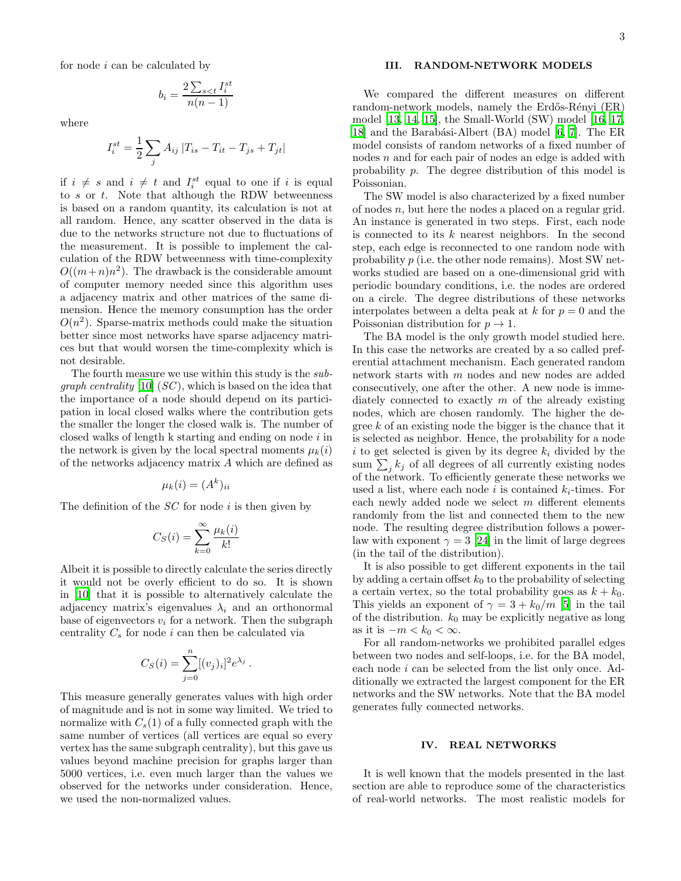for node  $i$  can be calculated by

$$
b_i = \frac{2\sum_{s
$$

where

$$
I_i^{st} = \frac{1}{2} \sum_j A_{ij} |T_{is} - T_{it} - T_{js} + T_{jt}|
$$

if  $i \neq s$  and  $i \neq t$  and  $I_i^{st}$  equal to one if i is equal to  $s$  or  $t$ . Note that although the RDW betweenness is based on a random quantity, its calculation is not at all random. Hence, any scatter observed in the data is due to the networks structure not due to fluctuations of the measurement. It is possible to implement the calculation of the RDW betweenness with time-complexity  $O((m+n)n^2)$ . The drawback is the considerable amount of computer memory needed since this algorithm uses a adjacency matrix and other matrices of the same dimension. Hence the memory consumption has the order  $O(n^2)$ . Sparse-matrix methods could make the situation better since most networks have sparse adjacency matrices but that would worsen the time-complexity which is not desirable.

The fourth measure we use within this study is the sub*graph centrality* [\[10](#page-8-9)]  $(SC)$ , which is based on the idea that the importance of a node should depend on its participation in local closed walks where the contribution gets the smaller the longer the closed walk is. The number of closed walks of length k starting and ending on node i in the network is given by the local spectral moments  $\mu_k(i)$ of the networks adjacency matrix A which are defined as

$$
\mu_k(i) = (A^k)_{ii}
$$

The definition of the  $SC$  for node i is then given by

$$
C_S(i) = \sum_{k=0}^{\infty} \frac{\mu_k(i)}{k!}
$$

Albeit it is possible to directly calculate the series directly it would not be overly efficient to do so. It is shown in [\[10\]](#page-8-9) that it is possible to alternatively calculate the adjacency matrix's eigenvalues  $\lambda_i$  and an orthonormal base of eigenvectors  $v_i$  for a network. Then the subgraph centrality  $C_s$  for node i can then be calculated via

$$
C_S(i) = \sum_{j=0}^{n} [(v_j)_i]^2 e^{\lambda_j}.
$$

This measure generally generates values with high order of magnitude and is not in some way limited. We tried to normalize with  $C_s(1)$  of a fully connected graph with the same number of vertices (all vertices are equal so every vertex has the same subgraph centrality), but this gave us values beyond machine precision for graphs larger than 5000 vertices, i.e. even much larger than the values we observed for the networks under consideration. Hence, we used the non-normalized values.

### III. RANDOM-NETWORK MODELS

<span id="page-2-0"></span>We compared the different measures on different random-network models, namely the Erdős-Rényi (ER) model [\[13](#page-8-12), [14](#page-8-13), [15](#page-8-14)], the Small-World (SW) model [\[16](#page-8-15), [17](#page-8-16), [18\]](#page-8-17) and the Barabási-Albert  $(BA)$  model  $[6, 7]$  $[6, 7]$  $[6, 7]$ . The ER model consists of random networks of a fixed number of nodes  $n$  and for each pair of nodes an edge is added with probability p. The degree distribution of this model is Poissonian.

The SW model is also characterized by a fixed number of nodes n, but here the nodes a placed on a regular grid. An instance is generated in two steps. First, each node is connected to its k nearest neighbors. In the second step, each edge is reconnected to one random node with probability p (i.e. the other node remains). Most SW networks studied are based on a one-dimensional grid with periodic boundary conditions, i.e. the nodes are ordered on a circle. The degree distributions of these networks interpolates between a delta peak at k for  $p = 0$  and the Poissonian distribution for  $p \to 1$ .

The BA model is the only growth model studied here. In this case the networks are created by a so called preferential attachment mechanism. Each generated random network starts with m nodes and new nodes are added consecutively, one after the other. A new node is immediately connected to exactly  $m$  of the already existing nodes, which are chosen randomly. The higher the degree  $k$  of an existing node the bigger is the chance that it is selected as neighbor. Hence, the probability for a node i to get selected is given by its degree  $k_i$  divided by the sum  $\sum_j k_j$  of all degrees of all currently existing nodes of the network. To efficiently generate these networks we used a list, where each node i is contained  $k_i$ -times. For each newly added node we select  $m$  different elements randomly from the list and connected them to the new node. The resulting degree distribution follows a powerlaw with exponent  $\gamma = 3$  [\[24\]](#page-8-18) in the limit of large degrees (in the tail of the distribution).

It is also possible to get different exponents in the tail by adding a certain offset  $k_0$  to the probability of selecting a certain vertex, so the total probability goes as  $k + k_0$ . This yields an exponent of  $\gamma = 3 + k_0/m$  [\[5](#page-8-4)] in the tail of the distribution.  $k_0$  may be explicitly negative as long as it is  $-m < k_0 < \infty$ .

For all random-networks we prohibited parallel edges between two nodes and self-loops, i.e. for the BA model, each node i can be selected from the list only once. Additionally we extracted the largest component for the ER networks and the SW networks. Note that the BA model generates fully connected networks.

### IV. REAL NETWORKS

<span id="page-2-1"></span>It is well known that the models presented in the last section are able to reproduce some of the characteristics of real-world networks. The most realistic models for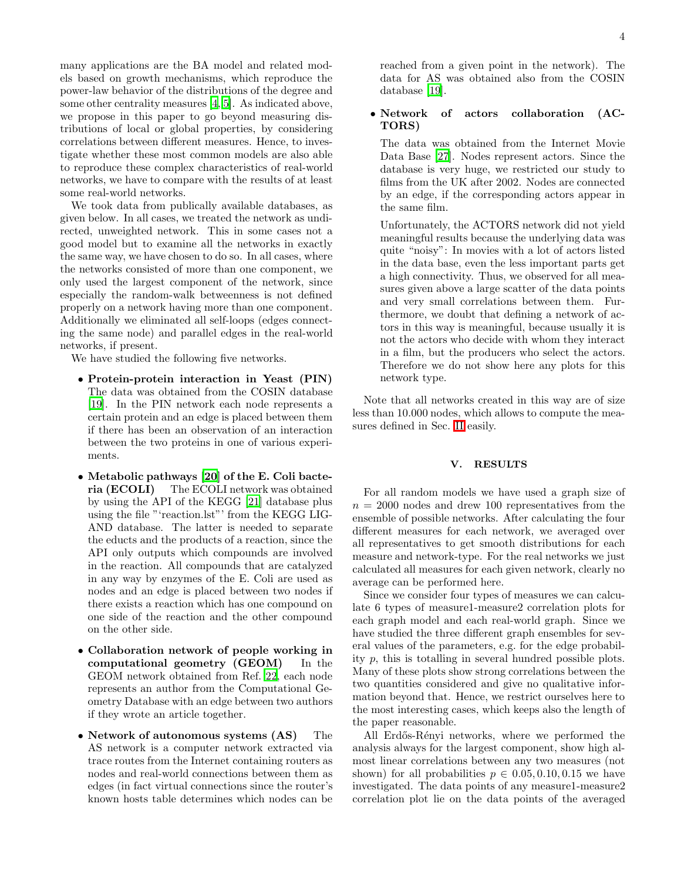many applications are the BA model and related models based on growth mechanisms, which reproduce the power-law behavior of the distributions of the degree and some other centrality measures [\[4,](#page-8-3) [5](#page-8-4)]. As indicated above, we propose in this paper to go beyond measuring distributions of local or global properties, by considering correlations between different measures. Hence, to investigate whether these most common models are also able to reproduce these complex characteristics of real-world networks, we have to compare with the results of at least some real-world networks.

We took data from publically available databases, as given below. In all cases, we treated the network as undirected, unweighted network. This in some cases not a good model but to examine all the networks in exactly the same way, we have chosen to do so. In all cases, where the networks consisted of more than one component, we only used the largest component of the network, since especially the random-walk betweenness is not defined properly on a network having more than one component. Additionally we eliminated all self-loops (edges connecting the same node) and parallel edges in the real-world networks, if present.

We have studied the following five networks.

- Protein-protein interaction in Yeast (PIN) The data was obtained from the COSIN database [\[19\]](#page-8-19). In the PIN network each node represents a certain protein and an edge is placed between them if there has been an observation of an interaction between the two proteins in one of various experiments.
- Metabolic pathways [\[20](#page-8-20)] of the E. Coli bacteria (ECOLI) The ECOLI network was obtained by using the API of the KEGG [\[21](#page-8-21)] database plus using the file "'reaction.lst"' from the KEGG LIG-AND database. The latter is needed to separate the educts and the products of a reaction, since the API only outputs which compounds are involved in the reaction. All compounds that are catalyzed in any way by enzymes of the E. Coli are used as nodes and an edge is placed between two nodes if there exists a reaction which has one compound on one side of the reaction and the other compound on the other side.
- Collaboration network of people working in computational geometry (GEOM) In the GEOM network obtained from Ref. [22,](#page-8-22) each node represents an author from the Computational Geometry Database with an edge between two authors if they wrote an article together.
- Network of autonomous systems  $(AS)$  The AS network is a computer network extracted via trace routes from the Internet containing routers as nodes and real-world connections between them as edges (in fact virtual connections since the router's known hosts table determines which nodes can be

reached from a given point in the network). The data for AS was obtained also from the COSIN database [\[19](#page-8-19)].

# • Network of actors collaboration (AC-TORS)

The data was obtained from the Internet Movie Data Base [\[27\]](#page-8-23). Nodes represent actors. Since the database is very huge, we restricted our study to films from the UK after 2002. Nodes are connected by an edge, if the corresponding actors appear in the same film.

Unfortunately, the ACTORS network did not yield meaningful results because the underlying data was quite "noisy": In movies with a lot of actors listed in the data base, even the less important parts get a high connectivity. Thus, we observed for all measures given above a large scatter of the data points and very small correlations between them. Furthermore, we doubt that defining a network of actors in this way is meaningful, because usually it is not the actors who decide with whom they interact in a film, but the producers who select the actors. Therefore we do not show here any plots for this network type.

Note that all networks created in this way are of size less than 10.000 nodes, which allows to compute the measures defined in Sec. [II](#page-1-0) easily.

#### V. RESULTS

<span id="page-3-0"></span>For all random models we have used a graph size of  $n = 2000$  nodes and drew 100 representatives from the ensemble of possible networks. After calculating the four different measures for each network, we averaged over all representatives to get smooth distributions for each measure and network-type. For the real networks we just calculated all measures for each given network, clearly no average can be performed here.

Since we consider four types of measures we can calculate 6 types of measure1-measure2 correlation plots for each graph model and each real-world graph. Since we have studied the three different graph ensembles for several values of the parameters, e.g. for the edge probability p, this is totalling in several hundred possible plots. Many of these plots show strong correlations between the two quantities considered and give no qualitative information beyond that. Hence, we restrict ourselves here to the most interesting cases, which keeps also the length of the paper reasonable.

All Erdős-Rényi networks, where we performed the analysis always for the largest component, show high almost linear correlations between any two measures (not shown) for all probabilities  $p \in {0.05, 0.10, 0.15}$  we have investigated. The data points of any measure1-measure2 correlation plot lie on the data points of the averaged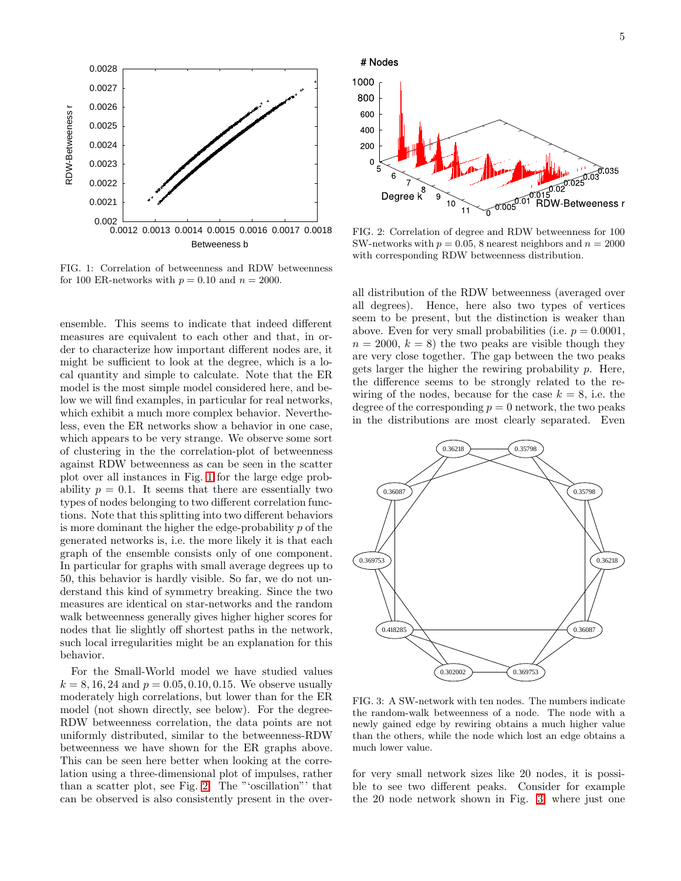

<span id="page-4-0"></span>FIG. 1: Correlation of betweenness and RDW betweenness for 100 ER-networks with  $p = 0.10$  and  $n = 2000$ .

ensemble. This seems to indicate that indeed different measures are equivalent to each other and that, in order to characterize how important different nodes are, it might be sufficient to look at the degree, which is a local quantity and simple to calculate. Note that the ER model is the most simple model considered here, and below we will find examples, in particular for real networks, which exhibit a much more complex behavior. Nevertheless, even the ER networks show a behavior in one case, which appears to be very strange. We observe some sort of clustering in the the correlation-plot of betweenness against RDW betweenness as can be seen in the scatter plot over all instances in Fig. [1](#page-4-0) for the large edge probability  $p = 0.1$ . It seems that there are essentially two types of nodes belonging to two different correlation functions. Note that this splitting into two different behaviors is more dominant the higher the edge-probability p of the generated networks is, i.e. the more likely it is that each graph of the ensemble consists only of one component. In particular for graphs with small average degrees up to 50, this behavior is hardly visible. So far, we do not understand this kind of symmetry breaking. Since the two measures are identical on star-networks and the random walk betweenness generally gives higher higher scores for nodes that lie slightly off shortest paths in the network, such local irregularities might be an explanation for this behavior.

For the Small-World model we have studied values  $k = 8, 16, 24$  and  $p = 0.05, 0.10, 0.15$ . We observe usually moderately high correlations, but lower than for the ER model (not shown directly, see below). For the degree-RDW betweenness correlation, the data points are not uniformly distributed, similar to the betweenness-RDW betweenness we have shown for the ER graphs above. This can be seen here better when looking at the correlation using a three-dimensional plot of impulses, rather than a scatter plot, see Fig. [2.](#page-4-1) The "'oscillation"' that can be observed is also consistently present in the over-



<span id="page-4-1"></span>FIG. 2: Correlation of degree and RDW betweenness for 100 SW-networks with  $p = 0.05$ , 8 nearest neighbors and  $n = 2000$ with corresponding RDW betweenness distribution.

all distribution of the RDW betweenness (averaged over all degrees). Hence, here also two types of vertices seem to be present, but the distinction is weaker than above. Even for very small probabilities (i.e.  $p = 0.0001$ ,  $n = 2000, k = 8$ ) the two peaks are visible though they are very close together. The gap between the two peaks gets larger the higher the rewiring probability  $p$ . Here, the difference seems to be strongly related to the rewiring of the nodes, because for the case  $k = 8$ , i.e. the degree of the corresponding  $p = 0$  network, the two peaks in the distributions are most clearly separated. Even



<span id="page-4-2"></span>FIG. 3: A SW-network with ten nodes. The numbers indicate the random-walk betweenness of a node. The node with a newly gained edge by rewiring obtains a much higher value than the others, while the node which lost an edge obtains a much lower value.

for very small network sizes like 20 nodes, it is possible to see two different peaks. Consider for example the 20 node network shown in Fig. [3,](#page-4-2) where just one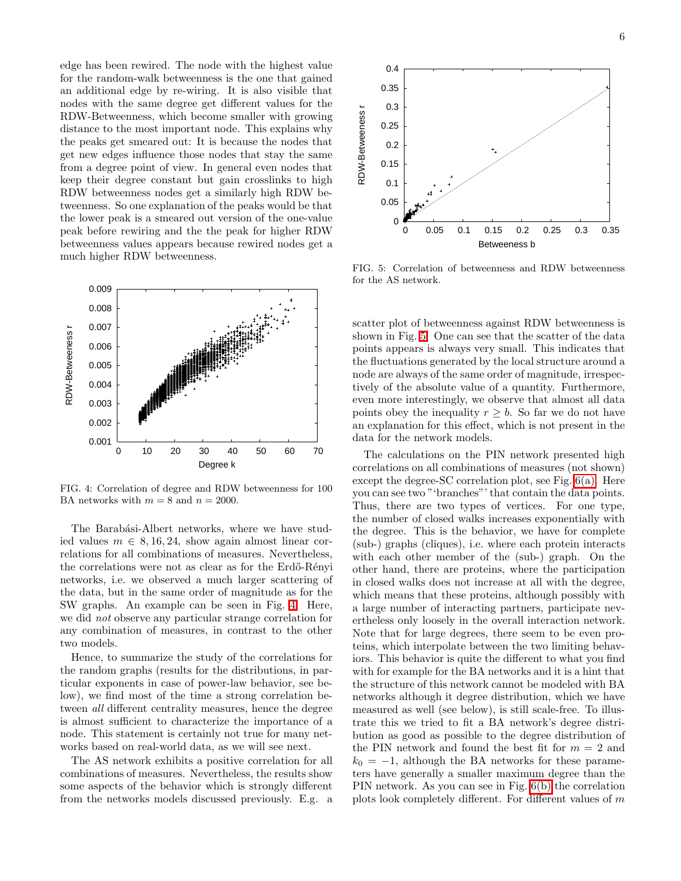edge has been rewired. The node with the highest value for the random-walk betweenness is the one that gained an additional edge by re-wiring. It is also visible that nodes with the same degree get different values for the RDW-Betweenness, which become smaller with growing distance to the most important node. This explains why the peaks get smeared out: It is because the nodes that get new edges influence those nodes that stay the same from a degree point of view. In general even nodes that keep their degree constant but gain crosslinks to high RDW betweenness nodes get a similarly high RDW betweenness. So one explanation of the peaks would be that the lower peak is a smeared out version of the one-value peak before rewiring and the the peak for higher RDW betweenness values appears because rewired nodes get a much higher RDW betweenness.



<span id="page-5-0"></span>FIG. 4: Correlation of degree and RDW betweenness for 100 BA networks with  $m = 8$  and  $n = 2000$ .

The Barabási-Albert networks, where we have studied values  $m \in 8, 16, 24$ , show again almost linear correlations for all combinations of measures. Nevertheless, the correlations were not as clear as for the Erdő-Rényi networks, i.e. we observed a much larger scattering of the data, but in the same order of magnitude as for the SW graphs. An example can be seen in Fig. [4.](#page-5-0) Here, we did not observe any particular strange correlation for any combination of measures, in contrast to the other two models.

Hence, to summarize the study of the correlations for the random graphs (results for the distributions, in particular exponents in case of power-law behavior, see below), we find most of the time a strong correlation between all different centrality measures, hence the degree is almost sufficient to characterize the importance of a node. This statement is certainly not true for many networks based on real-world data, as we will see next.

The AS network exhibits a positive correlation for all combinations of measures. Nevertheless, the results show some aspects of the behavior which is strongly different from the networks models discussed previously. E.g. a



<span id="page-5-1"></span>FIG. 5: Correlation of betweenness and RDW betweenness for the AS network.

scatter plot of betweenness against RDW betweenness is shown in Fig. [5.](#page-5-1) One can see that the scatter of the data points appears is always very small. This indicates that the fluctuations generated by the local structure around a node are always of the same order of magnitude, irrespectively of the absolute value of a quantity. Furthermore, even more interestingly, we observe that almost all data points obey the inequality  $r > b$ . So far we do not have an explanation for this effect, which is not present in the data for the network models.

The calculations on the PIN network presented high correlations on all combinations of measures (not shown) except the degree-SC correlation plot, see Fig. [6\(a\).](#page-6-0) Here you can see two "'branches"' that contain the data points. Thus, there are two types of vertices. For one type, the number of closed walks increases exponentially with the degree. This is the behavior, we have for complete (sub-) graphs (cliques), i.e. where each protein interacts with each other member of the (sub-) graph. On the other hand, there are proteins, where the participation in closed walks does not increase at all with the degree, which means that these proteins, although possibly with a large number of interacting partners, participate nevertheless only loosely in the overall interaction network. Note that for large degrees, there seem to be even proteins, which interpolate between the two limiting behaviors. This behavior is quite the different to what you find with for example for the BA networks and it is a hint that the structure of this network cannot be modeled with BA networks although it degree distribution, which we have measured as well (see below), is still scale-free. To illustrate this we tried to fit a BA network's degree distribution as good as possible to the degree distribution of the PIN network and found the best fit for  $m = 2$  and  $k_0 = -1$ , although the BA networks for these parameters have generally a smaller maximum degree than the PIN network. As you can see in Fig. [6\(b\)](#page-6-1) the correlation plots look completely different. For different values of m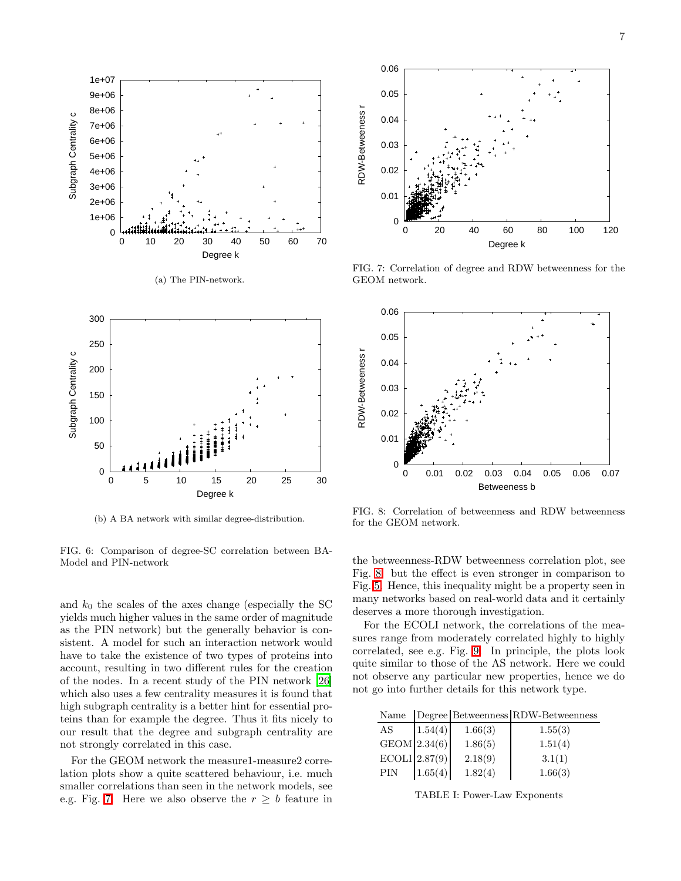<span id="page-6-0"></span>

(b) A BA network with similar degree-distribution.

<span id="page-6-1"></span>FIG. 6: Comparison of degree-SC correlation between BA-Model and PIN-network

and  $k_0$  the scales of the axes change (especially the SC yields much higher values in the same order of magnitude as the PIN network) but the generally behavior is consistent. A model for such an interaction network would have to take the existence of two types of proteins into account, resulting in two different rules for the creation of the nodes. In a recent study of the PIN network [\[26](#page-8-24)] which also uses a few centrality measures it is found that high subgraph centrality is a better hint for essential proteins than for example the degree. Thus it fits nicely to our result that the degree and subgraph centrality are not strongly correlated in this case.

For the GEOM network the measure1-measure2 correlation plots show a quite scattered behaviour, i.e. much smaller correlations than seen in the network models, see e.g. Fig. [7.](#page-6-2) Here we also observe the  $r \geq b$  feature in



<span id="page-6-2"></span>FIG. 7: Correlation of degree and RDW betweenness for the GEOM network.



<span id="page-6-3"></span>FIG. 8: Correlation of betweenness and RDW betweenness for the GEOM network.

the betweenness-RDW betweenness correlation plot, see Fig. [8.](#page-6-3) but the effect is even stronger in comparison to Fig. [5.](#page-5-1) Hence, this inequality might be a property seen in many networks based on real-world data and it certainly deserves a more thorough investigation.

For the ECOLI network, the correlations of the measures range from moderately correlated highly to highly correlated, see e.g. Fig. [9.](#page-7-1) In principle, the plots look quite similar to those of the AS network. Here we could not observe any particular new properties, hence we do not go into further details for this network type.

| Name              |         |         | Degree Betweenness RDW-Betweenness |
|-------------------|---------|---------|------------------------------------|
| AS                | 1.54(4) | 1.66(3) | 1.55(3)                            |
| GEOM $2.34(6)$    |         | 1.86(5) | 1.51(4)                            |
| $ECOLI$ $2.87(9)$ |         | 2.18(9) | 3.1(1)                             |
| PIN               | 1.65(4) | 1.82(4) | 1.66(3)                            |

<span id="page-6-4"></span>TABLE I: Power-Law Exponents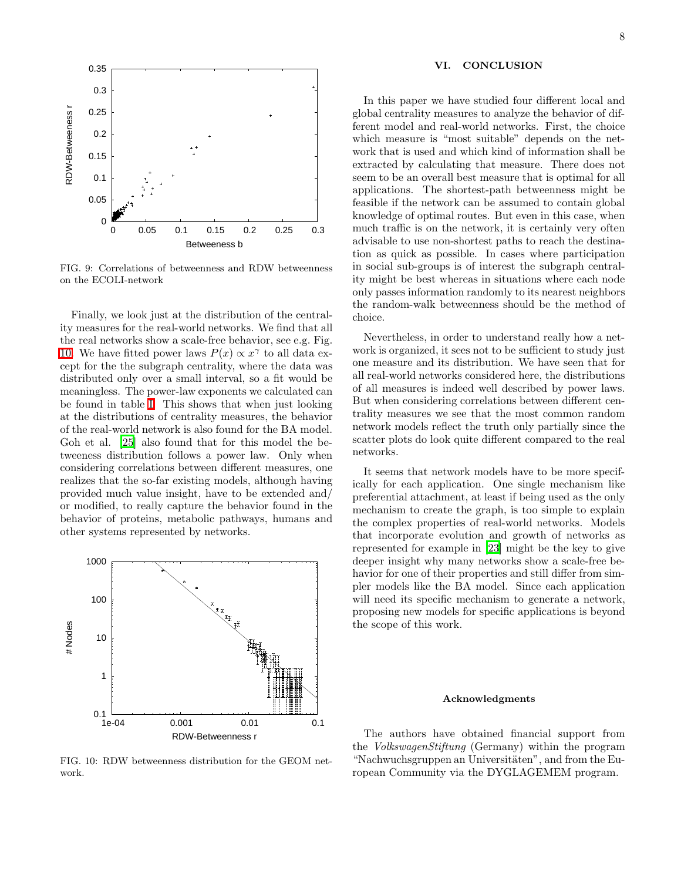

<span id="page-7-1"></span>FIG. 9: Correlations of betweenness and RDW betweenness on the ECOLI-network

Finally, we look just at the distribution of the centrality measures for the real-world networks. We find that all the real networks show a scale-free behavior, see e.g. Fig. [10.](#page-7-2) We have fitted power laws  $P(x) \propto x^{\gamma}$  to all data except for the the subgraph centrality, where the data was distributed only over a small interval, so a fit would be meaningless. The power-law exponents we calculated can be found in table [I.](#page-6-4) This shows that when just looking at the distributions of centrality measures, the behavior of the real-world network is also found for the BA model. Goh et al. [\[25](#page-8-25)] also found that for this model the betweeness distribution follows a power law. Only when considering correlations between different measures, one realizes that the so-far existing models, although having provided much value insight, have to be extended and/ or modified, to really capture the behavior found in the behavior of proteins, metabolic pathways, humans and other systems represented by networks.



<span id="page-7-2"></span>FIG. 10: RDW betweenness distribution for the GEOM network.

### VI. CONCLUSION

<span id="page-7-0"></span>In this paper we have studied four different local and global centrality measures to analyze the behavior of different model and real-world networks. First, the choice which measure is "most suitable" depends on the network that is used and which kind of information shall be extracted by calculating that measure. There does not seem to be an overall best measure that is optimal for all applications. The shortest-path betweenness might be feasible if the network can be assumed to contain global knowledge of optimal routes. But even in this case, when much traffic is on the network, it is certainly very often advisable to use non-shortest paths to reach the destination as quick as possible. In cases where participation in social sub-groups is of interest the subgraph centrality might be best whereas in situations where each node only passes information randomly to its nearest neighbors the random-walk betweenness should be the method of choice.

Nevertheless, in order to understand really how a network is organized, it sees not to be sufficient to study just one measure and its distribution. We have seen that for all real-world networks considered here, the distributions of all measures is indeed well described by power laws. But when considering correlations between different centrality measures we see that the most common random network models reflect the truth only partially since the scatter plots do look quite different compared to the real networks.

It seems that network models have to be more specifically for each application. One single mechanism like preferential attachment, at least if being used as the only mechanism to create the graph, is too simple to explain the complex properties of real-world networks. Models that incorporate evolution and growth of networks as represented for example in [\[23\]](#page-8-26) might be the key to give deeper insight why many networks show a scale-free behavior for one of their properties and still differ from simpler models like the BA model. Since each application will need its specific mechanism to generate a network, proposing new models for specific applications is beyond the scope of this work.

#### Acknowledgments

The authors have obtained financial support from the VolkswagenStiftung (Germany) within the program "Nachwuchsgruppen an Universitäten", and from the European Community via the DYGLAGEMEM program.